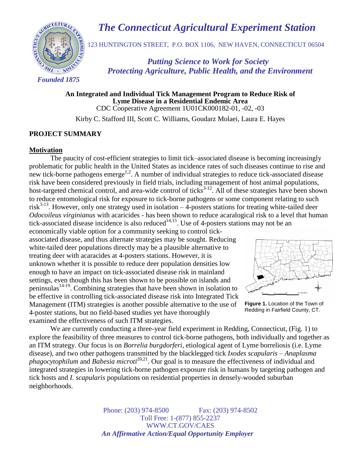# *The Connecticut Agricultural Experiment Station*



123 HUNTINGTON STREET, P.O. BOX 1106, NEW HAVEN, CONNECTICUT 06504

 *Putting Science to Work for Society Protecting Agriculture, Public Health, and the Environment*

**An Integrated and Individual Tick Management Program to Reduce Risk of Lyme Disease in a Residential Endemic Area** CDC Cooperative Agreement 1U01CK000182-01, -02, -03

Kirby C. Stafford III, Scott C. Williams, Goudarz Molaei, Laura E. Hayes

## **PROJECT SUMMARY**

#### **Motivation**

The paucity of cost-efficient strategies to limit tick–associated disease is becoming increasingly problematic for public health in the United States as incidence rates of such diseases continue to rise and new tick-borne pathogens emerge<sup>1,2</sup>. A number of individual strategies to reduce tick-associated disease risk have been considered previously in field trials, including management of host animal populations, host-targeted chemical control, and area-wide control of ticks<sup>3-12</sup>. All of these strategies have been shown to reduce entomological risk for exposure to tick-borne pathogens or some component relating to such risk<sup>3-13</sup>. However, only one strategy used in isolation  $-$  4-posters stations for treating white-tailed deer *Odocoileus virginianus* with acaricides - has been shown to reduce acaralogical risk to a level that human tick-associated disease incidence is also reduced<sup>14,15</sup>. Use of 4-posters stations may not be an

economically viable option for a community seeking to control tickassociated disease, and thus alternate strategies may be sought. Reducing white-tailed deer populations directly may be a plausible alternative to treating deer with acaracides at 4-posters stations. However, it is unknown whether it is possible to reduce deer population densities low enough to have an impact on tick-associated disease risk in mainland settings, even though this has been shown to be possible on islands and peninsulas<sup>14-19</sup>. Combining strategies that have been shown in isolation to be effective in controlling tick-associated disease risk into Integrated Tick Management (ITM) strategies is another possible alternative to the use of 4-poster stations, but no field-based studies yet have thoroughly examined the effectiveness of such ITM strategies.



**Figure 1.** Location of the Town of Redding in Fairfield County, CT.

We are currently conducting a three-year field experiment in Redding, Connecticut, (Fig. 1) to explore the feasibility of three measures to control tick-borne pathogens, both individually and together as an ITM strategy. Our focus is on *Borrelia burgdorferi*, etiological agent of Lyme borreliosis (i.e. Lyme disease), and two other pathogens transmitted by the blacklegged tick *Ixodes scapularis* – *Anaplasma*  phagocytophilum and *Babesia microti*<sup>20,21</sup>. Our goal is to measure the effectiveness of individual and integrated strategies in lowering tick-borne pathogen exposure risk in humans by targeting pathogen and tick hosts and *I. scapularis* populations on residential properties in densely-wooded suburban neighborhoods.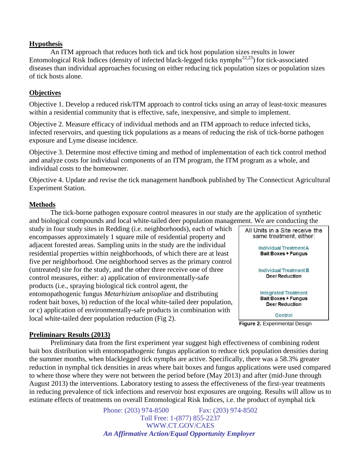## **Hypothesis**

An ITM approach that reduces both tick and tick host population sizes results in lower Entomological Risk Indices (density of infected black-legged ticks nymphs<sup>22,23</sup>) for tick-associated diseases than individual approaches focusing on either reducing tick population sizes or population sizes of tick hosts alone.

# **Objectives**

Objective 1. Develop a reduced risk/ITM approach to control ticks using an array of least-toxic measures within a residential community that is effective, safe, inexpensive, and simple to implement.

Objective 2. Measure efficacy of individual methods and an ITM approach to reduce infected ticks, infected reservoirs, and questing tick populations as a means of reducing the risk of tick-borne pathogen exposure and Lyme disease incidence.

Objective 3. Determine most effective timing and method of implementation of each tick control method and analyze costs for individual components of an ITM program, the ITM program as a whole, and individual costs to the homeowner.

Objective 4. Update and revise the tick management handbook published by The Connecticut Agricultural Experiment Station.

## **Methods**

The tick-borne pathogen exposure control measures in our study are the application of synthetic and biological compounds and local white-tailed deer population management. We are conducting the

study in four study sites in Redding (i.e. neighborhoods), each of which encompasses approximately 1 square mile of residential property and adjacent forested areas. Sampling units in the study are the individual residential properties within neighborhoods, of which there are at least five per neighborhood. One neighborhood serves as the primary control (untreated) site for the study, and the other three receive one of three control measures, either: a) application of environmentally-safe products (i.e., spraying biological tick control agent, the entomopathogenic fungus *Metarhizium anisopliae* and distributing rodent bait boxes, b) reduction of the local white-tailed deer population, or c) application of environmentally-safe products in combination with local white-tailed deer population reduction (Fig 2).



**Figure 2.** Experimental Design

#### **Preliminary Results (2013)**

Preliminary data from the first experiment year suggest high effectiveness of combining rodent bait box distribution with entomopathogenic fungus application to reduce tick population densities during the summer months, when blacklegged tick nymphs are active. Specifically, there was a 58.3% greater reduction in nymphal tick densities in areas where bait boxes and fungus applications were used compared to where those where they were not between the period before (May 2013) and after (mid-June through August 2013) the interventions. Laboratory testing to assess the effectiveness of the first-year treatments in reducing prevalence of tick infections and reservoir host exposures are ongoing. Results will allow us to estimate effects of treatments on overall Entomological Risk Indices, i.e. the product of nymphal tick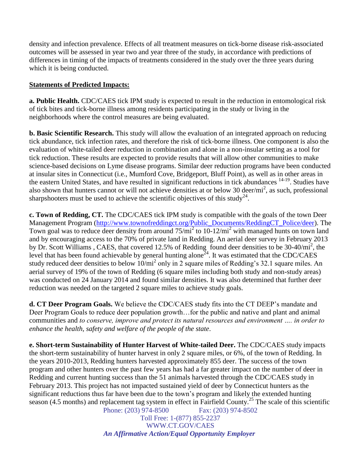density and infection prevalence. Effects of all treatment measures on tick-borne disease risk-associated outcomes will be assessed in year two and year three of the study, in accordance with predictions of differences in timing of the impacts of treatments considered in the study over the three years during which it is being conducted.

# **Statements of Predicted Impacts:**

**a. Public Health.** CDC/CAES tick IPM study is expected to result in the reduction in entomological risk of tick bites and tick-borne illness among residents participating in the study or living in the neighborhoods where the control measures are being evaluated.

**b. Basic Scientific Research.** This study will allow the evaluation of an integrated approach on reducing tick abundance, tick infection rates, and therefore the risk of tick-borne illness. One component is also the evaluation of white-tailed deer reduction in combination and alone in a non-insular setting as a tool for tick reduction. These results are expected to provide results that will allow other communities to make science-based decisions on Lyme disease programs. Similar deer reduction programs have been conducted at insular sites in Connecticut (i.e., Mumford Cove, Bridgeport, Bluff Point), as well as in other areas in the eastern United States, and have resulted in significant reductions in tick abundances <sup>14-19</sup>. Studies have also shown that hunters cannot or will not achieve densities at or below 30 deer/ $mi^2$ , as such, professional sharpshooters must be used to achieve the scientific objectives of this study<sup>24</sup>.

**c. Town of Redding, CT.** The CDC/CAES tick IPM study is compatible with the goals of the town Deer Management Program [\(http://www.townofreddingct.org/Public\\_Documents/ReddingCT\\_Police/deer\)](http://www.townofreddingct.org/Public_Documents/ReddingCT_Police/deer). The Town goal was to reduce deer density from around  $75/\text{mi}^2$  to 10-12/mi<sup>2</sup> with managed hunts on town land and by encouraging access to the 70% of private land in Redding. An aerial deer survey in February 2013 by Dr. Scott Williams, CAES, that covered 12.5% of Redding found deer densities to be 30-40/mi<sup>2</sup>, the level that has been found achievable by general hunting alone<sup>24</sup>. It was estimated that the CDC/CAES study reduced deer densities to below  $10/\text{mi}^2$  only in 2 square miles of Redding's 32.1 square miles. An aerial survey of 19% of the town of Redding (6 square miles including both study and non-study areas) was conducted on 24 January 2014 and found similar densities. It was also determined that further deer reduction was needed on the targeted 2 square miles to achieve study goals.

**d. CT Deer Program Goals.** We believe the CDC/CAES study fits into the CT DEEP's mandate and Deer Program Goals to reduce deer population growth…for the public and native and plant and animal communities and *to conserve, improve and protect its natural resources and environment …. in order to enhance the health, safety and welfare of the people of the state*.

Phone: (203) 974-8500 Fax: (203) 974-8502 **e. Short-term Sustainability of Hunter Harvest of White-tailed Deer.** The CDC/CAES study impacts the short-term sustainability of hunter harvest in only 2 square miles, or 6%, of the town of Redding. In the years 2010-2013, Redding hunters harvested approximately 855 deer. The success of the town program and other hunters over the past few years has had a far greater impact on the number of deer in Redding and current hunting success than the 51 animals harvested through the CDC/CAES study in February 2013. This project has not impacted sustained yield of deer by Connecticut hunters as the significant reductions thus far have been due to the town's program and likely the extended hunting season (4.5 months) and replacement tag system in effect in Fairfield County.<sup>25</sup> The scale of this scientific

Toll Free: 1-(877) 855-2237 WWW.CT.GOV/CAES  *An Affirmative Action/Equal Opportunity Employer*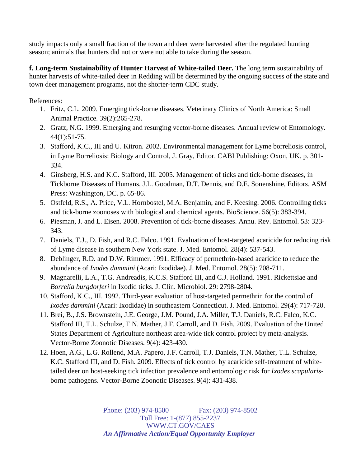study impacts only a small fraction of the town and deer were harvested after the regulated hunting season; animals that hunters did not or were not able to take during the season.

**f. Long-term Sustainability of Hunter Harvest of White-tailed Deer.** The long term sustainability of hunter harvests of white-tailed deer in Redding will be determined by the ongoing success of the state and town deer management programs, not the shorter-term CDC study.

References:

- 1. Fritz, C.L. 2009. Emerging tick-borne diseases. Veterinary Clinics of North America: Small Animal Practice. 39(2):265-278.
- 2. Gratz, N.G. 1999. Emerging and resurging vector-borne diseases. Annual review of Entomology. 44(1):51-75.
- 3. Stafford, K.C., III and U. Kitron. 2002. Environmental management for Lyme borreliosis control, in Lyme Borreliosis: Biology and Control, J. Gray, Editor. CABI Publishing: Oxon, UK. p. 301- 334.
- 4. Ginsberg, H.S. and K.C. Stafford, III. 2005. Management of ticks and tick-borne diseases, in Tickborne Diseases of Humans, J.L. Goodman, D.T. Dennis, and D.E. Sonenshine, Editors. ASM Press: Washington, DC. p. 65-86.
- 5. Ostfeld, R.S., A. Price, V.L. Hornbostel, M.A. Benjamin, and F. Keesing. 2006. Controlling ticks and tick-borne zoonoses with biological and chemical agents. BioScience. 56(5): 383-394.
- 6. Piesman, J. and L. Eisen. 2008. Prevention of tick-borne diseases. Annu. Rev. Entomol. 53: 323- 343.
- 7. Daniels, T.J., D. Fish, and R.C. Falco. 1991. Evaluation of host-targeted acaricide for reducing risk of Lyme disease in southern New York state. J. Med. Entomol. 28(4): 537-543.
- 8. Deblinger, R.D. and D.W. Rimmer. 1991. Efficacy of permethrin-based acaricide to reduce the abundance of *Ixodes dammini* (Acari: Ixodidae). J. Med. Entomol. 28(5): 708-711.
- 9. Magnarelli, L.A., T.G. Andreadis, K.C.S. Stafford III, and C.J. Holland. 1991. Rickettsiae and *Borrelia burgdorferi* in Ixodid ticks. J. Clin. Microbiol. 29: 2798-2804.
- 10. Stafford, K.C., III. 1992. Third-year evaluation of host-targeted permethrin for the control of *Ixodes dammini* (Acari: Ixodidae) in southeastern Connecticut. J. Med. Entomol. 29(4): 717-720.
- 11. Brei, B., J.S. Brownstein, J.E. George, J.M. Pound, J.A. Miller, T.J. Daniels, R.C. Falco, K.C. Stafford III, T.L. Schulze, T.N. Mather, J.F. Carroll, and D. Fish. 2009. Evaluation of the United States Department of Agriculture northeast area-wide tick control project by meta-analysis. Vector-Borne Zoonotic Diseases. 9(4): 423-430.
- 12. Hoen, A.G., L.G. Rollend, M.A. Papero, J.F. Carroll, T.J. Daniels, T.N. Mather, T.L. Schulze, K.C. Stafford III, and D. Fish. 2009. Effects of tick control by acaricide self-treatment of whitetailed deer on host-seeking tick infection prevalence and entomologic risk for *Ixodes scapularis*borne pathogens. Vector-Borne Zoonotic Diseases. 9(4): 431-438.